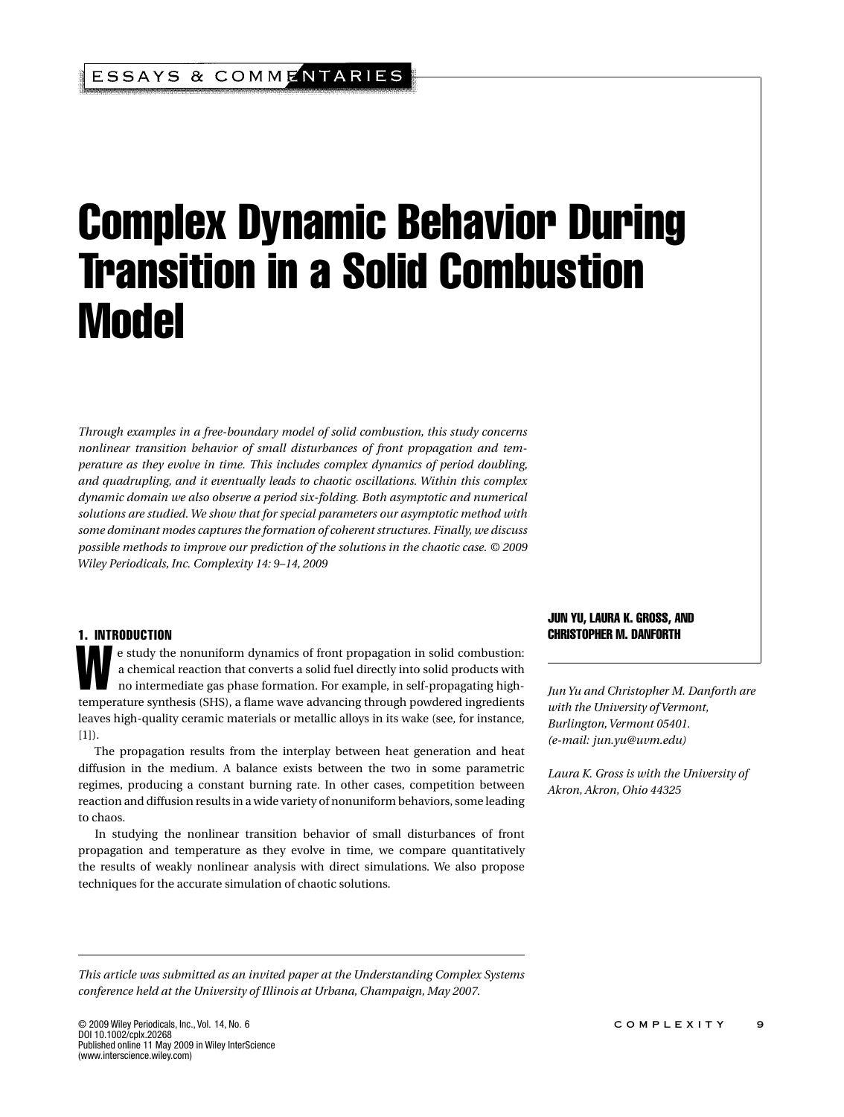# Complex Dynamic Behavior During Transition in a Solid Combustion Model

*Through examples in a free-boundary model of solid combustion, this study concerns nonlinear transition behavior of small disturbances of front propagation and temperature as they evolve in time. This includes complex dynamics of period doubling, and quadrupling, and it eventually leads to chaotic oscillations. Within this complex dynamic domain we also observe a period six-folding. Both asymptotic and numerical solutions are studied. We show that for special parameters our asymptotic method with some dominant modes captures the formation of coherent structures. Finally, we discuss possible methods to improve our prediction of the solutions in the chaotic case. © 2009 Wiley Periodicals, Inc. Complexity 14: 9–14, 2009*

## 1. INTRODUCTION

e study the nonuniform dynamics of front propagation in solid combustion: a chemical reaction that converts a solid fuel directly into solid products with no intermediate gas phase formation. For example, in self-propagating hightemperature synthesis (SHS), a flame wave advancing through powdered ingredients leaves high-quality ceramic materials or metallic alloys in its wake (see, for instance, [1]).

The propagation results from the interplay between heat generation and heat diffusion in the medium. A balance exists between the two in some parametric regimes, producing a constant burning rate. In other cases, competition between reaction and diffusion results in a wide variety of nonuniform behaviors, some leading to chaos.

In studying the nonlinear transition behavior of small disturbances of front propagation and temperature as they evolve in time, we compare quantitatively the results of weakly nonlinear analysis with direct simulations. We also propose techniques for the accurate simulation of chaotic solutions.

*This article was submitted as an invited paper at the Understanding Complex Systems conference held at the University of Illinois at Urbana, Champaign, May 2007.*

#### JUN YU, LAURA K. GROSS, AND CHRISTOPHER M. DANFORTH

*Jun Yu and Christopher M. Danforth are with the University of Vermont, Burlington,Vermont 05401. (e-mail: jun.yu@uvm.edu)*

*Laura K. Gross is with the University of Akron, Akron, Ohio 44325*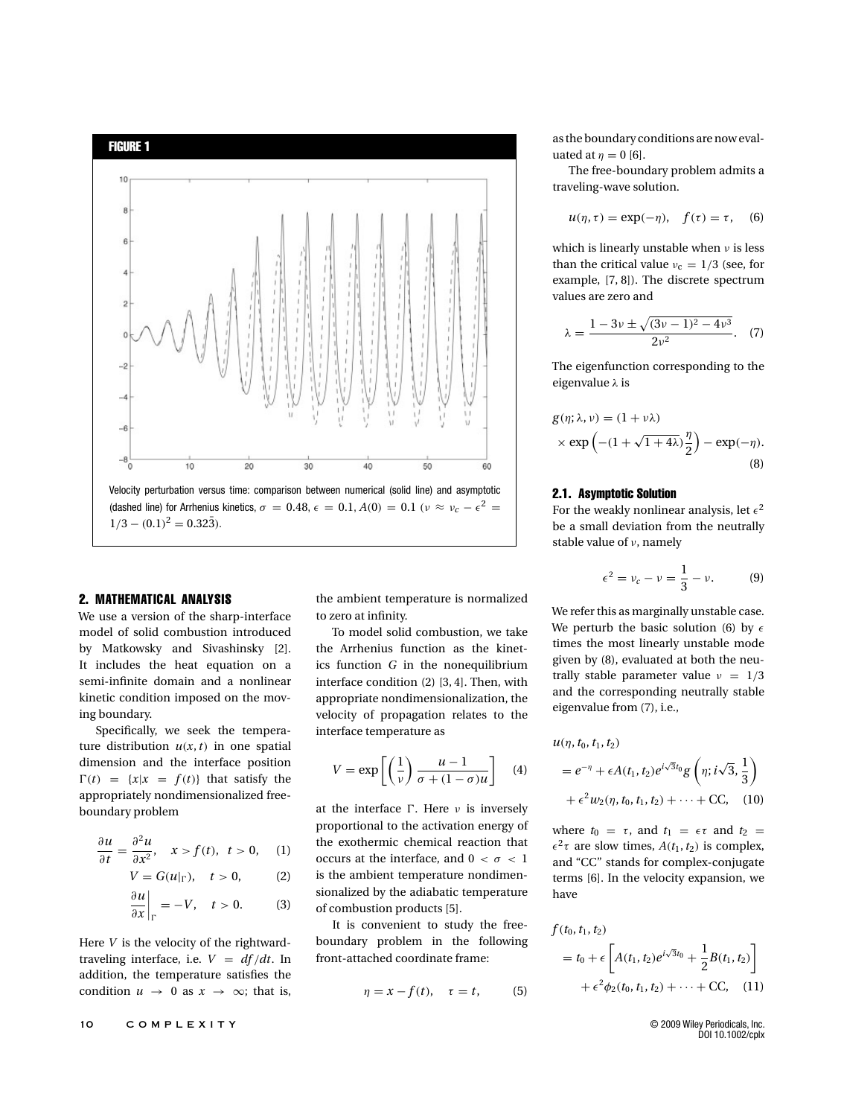

#### 2. MATHEMATICAL ANALYSIS

We use a version of the sharp-interface model of solid combustion introduced by Matkowsky and Sivashinsky [2]. It includes the heat equation on a semi-infinite domain and a nonlinear kinetic condition imposed on the moving boundary.

Specifically, we seek the temperature distribution  $u(x, t)$  in one spatial dimension and the interface position  $\Gamma(t) = \{x | x = f(t)\}$  that satisfy the appropriately nondimensionalized freeboundary problem

$$
\frac{\partial u}{\partial t} = \frac{\partial^2 u}{\partial x^2}, \quad x > f(t), \quad t > 0, \quad (1)
$$

$$
V = G(u|_{\Gamma}), \quad t > 0, \quad (2)
$$

$$
\frac{\partial u}{\partial x}\Big|_{\Gamma} = -V, \quad t > 0. \quad (3)
$$

Here *V* is the velocity of the rightwardtraveling interface, i.e.  $V = df/dt$ . In addition, the temperature satisfies the condition  $u \to 0$  as  $x \to \infty$ ; that is,

the ambient temperature is normalized to zero at infinity.

To model solid combustion, we take the Arrhenius function as the kinetics function *G* in the nonequilibrium interface condition (2) [3, 4]. Then, with appropriate nondimensionalization, the velocity of propagation relates to the interface temperature as

$$
V = \exp\left[\left(\frac{1}{v}\right)\frac{u-1}{\sigma + (1-\sigma)u}\right] \quad (4)
$$

at the interface  $\Gamma$ . Here  $\nu$  is inversely proportional to the activation energy of the exothermic chemical reaction that occurs at the interface, and  $0 < \sigma < 1$ is the ambient temperature nondimensionalized by the adiabatic temperature of combustion products [5].

It is convenient to study the freeboundary problem in the following front-attached coordinate frame:

$$
\eta = x - f(t), \quad \tau = t,\tag{5}
$$

as the boundary conditions are now evaluated at  $\eta = 0$  [6].

The free-boundary problem admits a traveling-wave solution.

$$
u(\eta, \tau) = \exp(-\eta), \quad f(\tau) = \tau, \quad (6)
$$

which is linearly unstable when  $\nu$  is less than the critical value  $v_c = 1/3$  (see, for example, [7, 8]). The discrete spectrum values are zero and

$$
\lambda = \frac{1 - 3\nu \pm \sqrt{(3\nu - 1)^2 - 4\nu^3}}{2\nu^2}.
$$
 (7)

The eigenfunction corresponding to the eigenvalue λ is

$$
g(\eta; \lambda, \nu) = (1 + \nu \lambda)
$$
  
 
$$
\times \exp\left(-(1 + \sqrt{1 + 4\lambda})\frac{\eta}{2}\right) - \exp(-\eta).
$$
 (8)

#### 2.1. Asymptotic Solution

For the weakly nonlinear analysis, let  $\epsilon^2$ be a small deviation from the neutrally stable value of  $\nu$ , namely

$$
\epsilon^2 = \nu_c - \nu = \frac{1}{3} - \nu. \tag{9}
$$

We refer this as marginally unstable case. We perturb the basic solution (6) by  $\epsilon$ times the most linearly unstable mode given by (8), evaluated at both the neutrally stable parameter value  $v = 1/3$ and the corresponding neutrally stable eigenvalue from (7), i.e.,

$$
u(\eta, t_0, t_1, t_2)
$$
  
=  $e^{-\eta} + \epsilon A(t_1, t_2) e^{i\sqrt{3}t_0} g\left(\eta; i\sqrt{3}, \frac{1}{3}\right)$   
+  $\epsilon^2 w_2(\eta, t_0, t_1, t_2) + \cdots + CC,$  (10)

where  $t_0 = \tau$ , and  $t_1 = \epsilon \tau$  and  $t_2 =$  $\epsilon^2 \tau$  are slow times,  $A(t_1, t_2)$  is complex, and "CC" stands for complex-conjugate terms [6]. In the velocity expansion, we have

$$
f(t_0, t_1, t_2)
$$
  
=  $t_0 + \epsilon \left[ A(t_1, t_2) e^{i\sqrt{3}t_0} + \frac{1}{2} B(t_1, t_2) \right]$   
+  $\epsilon^2 \phi_2(t_0, t_1, t_2) + \cdots + CC,$  (11)

10 C O M P L E X I T Y © 2009 Wiley Periodicals, Inc. DOI 10.1002/cplx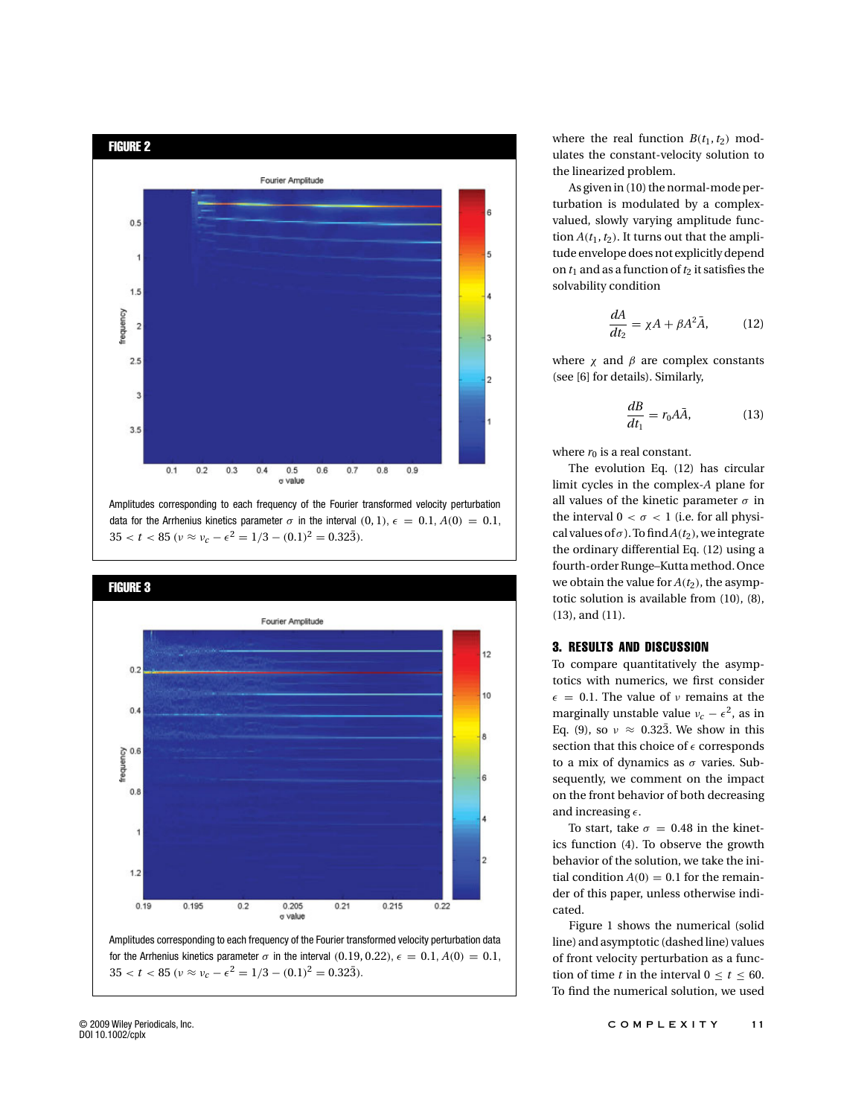



where the real function  $B(t_1, t_2)$  modulates the constant-velocity solution to the linearized problem.

As given in (10) the normal-mode perturbation is modulated by a complexvalued, slowly varying amplitude function  $A(t_1, t_2)$ . It turns out that the amplitude envelope does not explicitly depend on  $t_1$  and as a function of  $t_2$  it satisfies the solvability condition

$$
\frac{dA}{dt_2} = \chi A + \beta A^2 \bar{A}, \qquad (12)
$$

where  $\chi$  and  $\beta$  are complex constants (see [6] for details). Similarly,

$$
\frac{dB}{dt_1} = r_0 A \bar{A},\qquad(13)
$$

where  $r_0$  is a real constant.

The evolution Eq. (12) has circular limit cycles in the complex-*A* plane for all values of the kinetic parameter  $\sigma$  in the interval  $0 < \sigma < 1$  (i.e. for all physical values of  $\sigma$ ). To find  $A(t_2)$ , we integrate the ordinary differential Eq. (12) using a fourth-order Runge–Kuttamethod. Once we obtain the value for  $A(t_2)$ , the asymptotic solution is available from (10), (8), (13), and (11).

#### 3. RESULTS AND DISCUSSION

To compare quantitatively the asymptotics with numerics, we first consider  $\epsilon = 0.1$ . The value of *ν* remains at the marginally unstable value  $v_c - \epsilon^2$ , as in Eq. (9), so  $v \approx 0.32\overline{3}$ . We show in this section that this choice of  $\epsilon$  corresponds to a mix of dynamics as  $\sigma$  varies. Subsequently, we comment on the impact on the front behavior of both decreasing and increasing  $\epsilon$ .

To start, take  $\sigma = 0.48$  in the kinetics function (4). To observe the growth behavior of the solution, we take the initial condition  $A(0) = 0.1$  for the remainder of this paper, unless otherwise indicated.

Figure 1 shows the numerical (solid line) and asymptotic (dashed line) values of front velocity perturbation as a function of time *t* in the interval  $0 \le t \le 60$ . To find the numerical solution, we used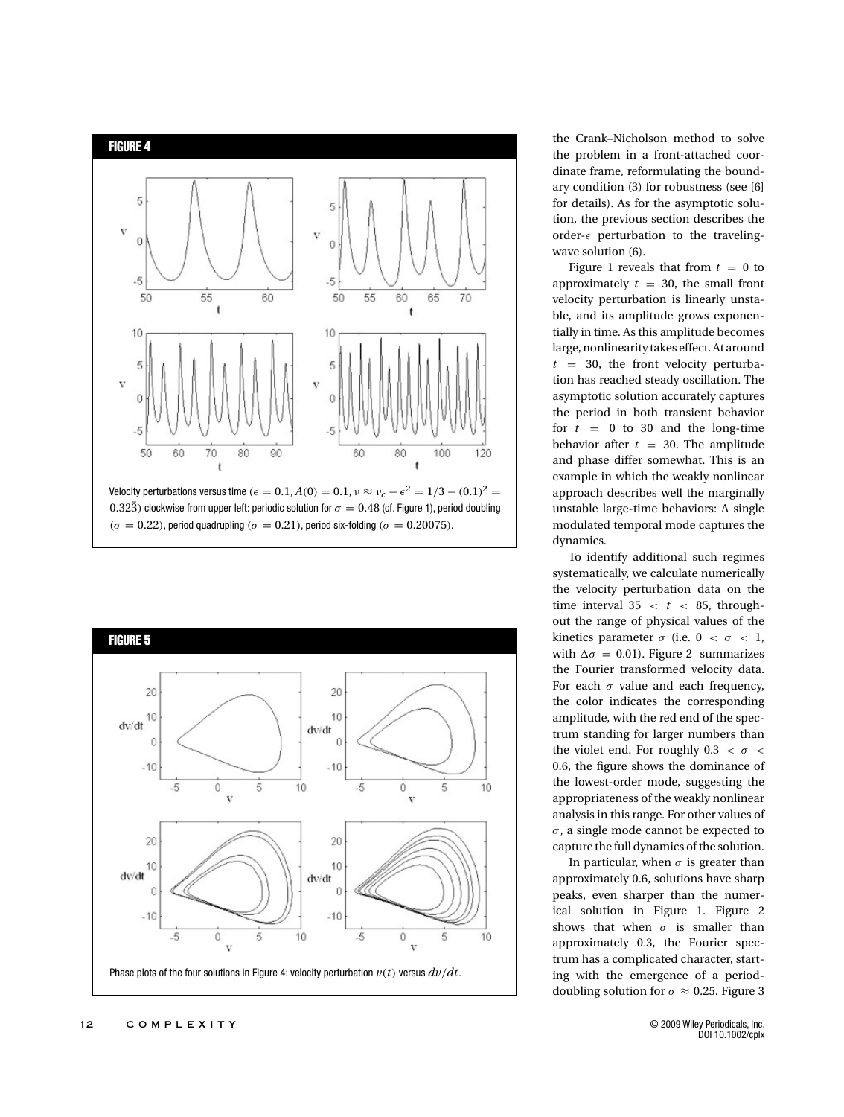



the Crank–Nicholson method to solve the problem in a front-attached coordinate frame, reformulating the boundary condition (3) for robustness (see [6] for details). As for the asymptotic solution, the previous section describes the order- $\epsilon$  perturbation to the travelingwave solution (6).

Figure 1 reveals that from  $t = 0$  to approximately  $t = 30$ , the small front velocity perturbation is linearly unstable, and its amplitude grows exponentially in time. As this amplitude becomes large, nonlinearity takes effect. At around  $t = 30$ , the front velocity perturbation has reached steady oscillation. The asymptotic solution accurately captures the period in both transient behavior for  $t = 0$  to 30 and the long-time behavior after  $t = 30$ . The amplitude and phase differ somewhat. This is an example in which the weakly nonlinear approach describes well the marginally unstable large-time behaviors: A single modulated temporal mode captures the dynamics.

To identify additional such regimes systematically, we calculate numerically the velocity perturbation data on the time interval  $35 < t < 85$ , throughout the range of physical values of the kinetics parameter  $\sigma$  (i.e.  $0 < \sigma < 1$ , with  $\Delta \sigma = 0.01$ ). Figure 2 summarizes the Fourier transformed velocity data. For each  $\sigma$  value and each frequency, the color indicates the corresponding amplitude, with the red end of the spectrum standing for larger numbers than the violet end. For roughly  $0.3 < \sigma <$ 0.6, the figure shows the dominance of the lowest-order mode, suggesting the appropriateness of the weakly nonlinear analysis in this range. For other values of σ, a single mode cannot be expected to capture the full dynamics of the solution.

In particular, when  $\sigma$  is greater than approximately 0.6, solutions have sharp peaks, even sharper than the numerical solution in Figure 1. Figure 2 shows that when  $\sigma$  is smaller than approximately 0.3, the Fourier spectrum has a complicated character, starting with the emergence of a perioddoubling solution for  $\sigma \approx 0.25$ . Figure 3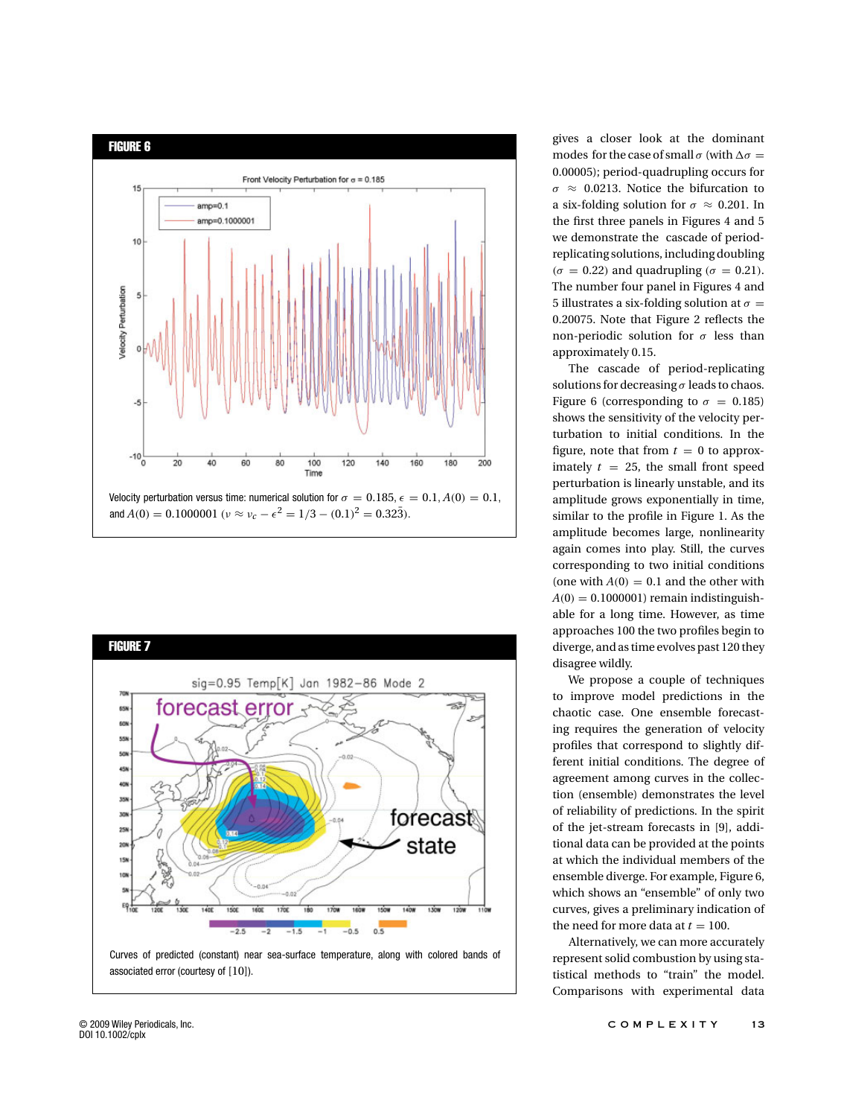



gives a closer look at the dominant modes for the case of small  $\sigma$  (with  $\Delta \sigma =$ 0.00005); period-quadrupling occurs for  $\sigma \approx 0.0213$ . Notice the bifurcation to a six-folding solution for  $\sigma \approx 0.201$ . In the first three panels in Figures 4 and 5 we demonstrate the cascade of periodreplicating solutions, including doubling ( $\sigma = 0.22$ ) and quadrupling ( $\sigma = 0.21$ ). The number four panel in Figures 4 and 5 illustrates a six-folding solution at  $\sigma =$ 0.20075. Note that Figure 2 reflects the non-periodic solution for  $σ$  less than approximately 0.15.

The cascade of period-replicating solutions for decreasing  $\sigma$  leads to chaos. Figure 6 (corresponding to  $\sigma = 0.185$ ) shows the sensitivity of the velocity perturbation to initial conditions. In the figure, note that from  $t = 0$  to approximately  $t = 25$ , the small front speed perturbation is linearly unstable, and its amplitude grows exponentially in time, similar to the profile in Figure 1. As the amplitude becomes large, nonlinearity again comes into play. Still, the curves corresponding to two initial conditions (one with  $A(0) = 0.1$  and the other with  $A(0) = 0.1000001$  remain indistinguishable for a long time. However, as time approaches 100 the two profiles begin to diverge, and as time evolves past 120 they disagree wildly.

We propose a couple of techniques to improve model predictions in the chaotic case. One ensemble forecasting requires the generation of velocity profiles that correspond to slightly different initial conditions. The degree of agreement among curves in the collection (ensemble) demonstrates the level of reliability of predictions. In the spirit of the jet-stream forecasts in [9], additional data can be provided at the points at which the individual members of the ensemble diverge. For example, Figure 6, which shows an "ensemble" of only two curves, gives a preliminary indication of the need for more data at  $t = 100$ .

Alternatively, we can more accurately represent solid combustion by using statistical methods to "train" the model. Comparisons with experimental data